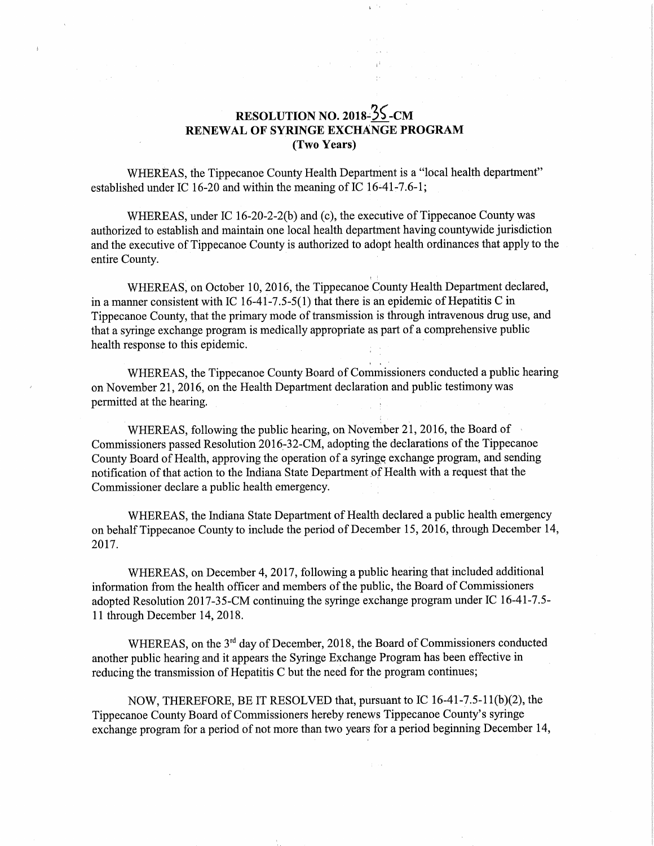## RESOLUTION NO. 2018- $\frac{25}{5}$ -CM RENEWAL OF SYRINGE EXCHANGE PROGRAM (Two Years)

 $\frac{1}{2}$ 

WHEREAS, the Tippecanoe County Health Department is <sup>a</sup> "10cal health department" established under IC 16-20 and within the meaning of IC  $16-41-7.6-1$ ;

WHEREAS, under IC 16-20-2-2(b) and (c), the executive of Tippecanoe County was authorized to establish and maintain one local health department having countywide jurisdiction and the executive of Tippecanoe County is authorized to adopt health ordinances that apply to the entire County.

WHEREAS, on October 10, 2016, the Tippecanoe County Health Department declared, in <sup>a</sup> manner consistent with IC 16-41-7.5-5(1) that there is an epidemic of Hepatitis C in Tippecanoe County, that the primary mode of transmission is through intravenous drug use, and that <sup>a</sup> syringe exchange program is medically appropriate as part of <sup>a</sup> comprehensive public health response to this epidemic.

 WHEREAS, the Tippecanoe County Board of Commissioners conducted <sup>a</sup> public hearing on November 21, 2016, on the Health Department declaration and public testimony was permitted at the hearing.

WHEREAS, following the public hearing, on November 21, 2016, the Board of Commissioners passed Resolution 2016-32-CM, adopting the declarations of the Tippecanoe County Board of Health, approving the operation of <sup>a</sup> syringe exchange program, and sending notification of that action to the Indiana State Department of Health with <sup>a</sup> request that the Commissioner declare a public health emergency.

WHEREAS, the Indiana State Department of Health declared <sup>a</sup> public health emergency on behalf Tippecanoe County to include the period of December 15, 2016, through December 14, 2017.

WHEREAS, on December 4, 2017, following <sup>a</sup> public hearing that included additional information from the health officer and members of the public, the Board of Commissioners adopted Resolution 2017-35-CM continuing the syringe exchange program under IC 16-41-7.5-11 through December 14, 2018.

WHEREAS, on the  $3<sup>rd</sup>$  day of December, 2018, the Board of Commissioners conducted another public hearing and it appears the Syringe Exchange Program has been effective in reducing the transmission of Hepatitis <sup>C</sup> but the need for the program continues;

NOW, THEREFORE, BE IT RESOLVED that, pursuant to IC 16—41-7.5-11(b)(2), the Tippecanoe County Board of Commissioners hereby renews Tippecanoe County's syringe exchange program for a period of not more than two years for a period beginning December 14,